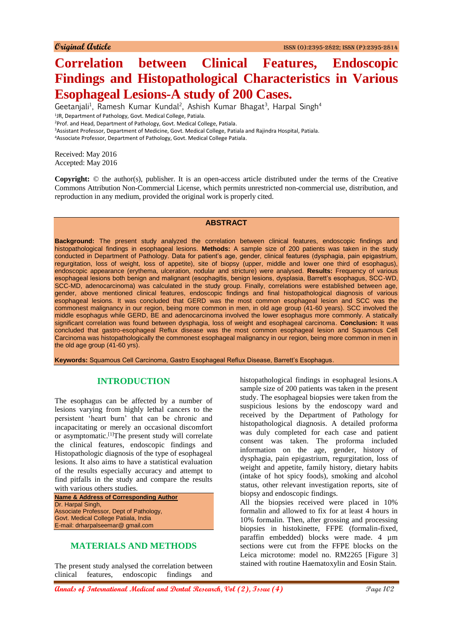# **Correlation between Clinical Features, Endoscopic Findings and Histopathological Characteristics in Various Esophageal Lesions-A study of 200 Cases.**

Geetanjali<sup>1</sup>, Ramesh Kumar Kundal<sup>2</sup>, Ashish Kumar Bhagat<sup>3</sup>, Harpal Singh<sup>4</sup> <sup>1</sup>JR, Department of Pathology, Govt. Medical College, Patiala. <sup>2</sup>Prof. and Head, Department of Pathology, Govt. Medical College, Patiala. <sup>3</sup>Assistant Professor, Department of Medicine, Govt. Medical College, Patiala and Rajindra Hospital, Patiala.

<sup>4</sup>Associate Professor, Department of Pathology, Govt. Medical College Patiala.

Received: May 2016 Accepted: May 2016

**Copyright:** © the author(s), publisher. It is an open-access article distributed under the terms of the Creative Commons Attribution Non-Commercial License, which permits unrestricted non-commercial use, distribution, and reproduction in any medium, provided the original work is properly cited.

## **ABSTRACT**

**Background:** The present study analyzed the correlation between clinical features, endoscopic findings and histopathological findings in esophageal lesions. **Methods:** A sample size of 200 patients was taken in the study conducted in Department of Pathology. Data for patient's age, gender, clinical features (dysphagia, pain epigastrium, regurgitation, loss of weight, loss of appetite), site of biopsy (upper, middle and lower one third of esophagus), endoscopic appearance (erythema, ulceration, nodular and stricture) were analysed. **Results:** Frequency of various esophageal lesions both benign and malignant (esophagitis, benign lesions, dysplasia, Barrett's esophagus, SCC-WD, SCC-MD, adenocarcinoma) was calculated in the study group. Finally, correlations were established between age, gender, above mentioned clinical features, endoscopic findings and final histopathological diagnosis of various esophageal lesions. It was concluded that GERD was the most common esophageal lesion and SCC was the commonest malignancy in our region, being more common in men, in old age group (41-60 years). SCC involved the middle esophagus while GERD, BE and adenocarcinoma involved the lower esophagus more commonly. A statically significant correlation was found between dysphagia, loss of weight and esophageal carcinoma. **Conclusion:** It was concluded that gastro-esophageal Reflux disease was the most common esophageal lesion and Squamous Cell Carcinoma was histopathologically the commonest esophageal malignancy in our region, being more common in men in the old age group (41-60 yrs).

**Keywords:** Squamous Cell Carcinoma, Gastro Esophageal Reflux Disease, Barrett's Esophagus.

## **INTRODUCTION**

The esophagus can be affected by a number of lesions varying from highly lethal cancers to the persistent 'heart burn' that can be chronic and incapacitating or merely an occasional discomfort or asymptomatic.[1]The present study will correlate the clinical features, endoscopic findings and Histopathologic diagnosis of the type of esophageal lesions. It also aims to have a statistical evaluation of the results especially accuracy and attempt to find pitfalls in the study and compare the results with various others studies.

**Name & Address of Corresponding Author** Dr. Harpal Singh, Associate Professor, Dept of Pathology, Govt. Medical College Patiala, India E-mail: drharpalseemar@ gmail.com

## **MATERIALS AND METHODS**

The present study analysed the correlation between clinical features, endoscopic findings and

histopathological findings in esophageal lesions.A sample size of 200 patients was taken in the present study. The esophageal biopsies were taken from the suspicious lesions by the endoscopy ward and received by the Department of Pathology for histopathological diagnosis. A detailed proforma was duly completed for each case and patient consent was taken. The proforma included information on the age, gender, history of dysphagia, pain epigastrium, regurgitation, loss of weight and appetite, family history, dietary habits (intake of hot spicy foods), smoking and alcohol status, other relevant investigation reports, site of biopsy and endoscopic findings.

All the biopsies received were placed in 10% formalin and allowed to fix for at least 4 hours in 10% formalin. Then, after grossing and processing biopsies in histokinette, FFPE (formalin-fixed, paraffin embedded) blocks were made. 4 µm sections were cut from the FFPE blocks on the Leica microtome: model no. RM2265 [Figure 3] stained with routine Haematoxylin and Eosin Stain.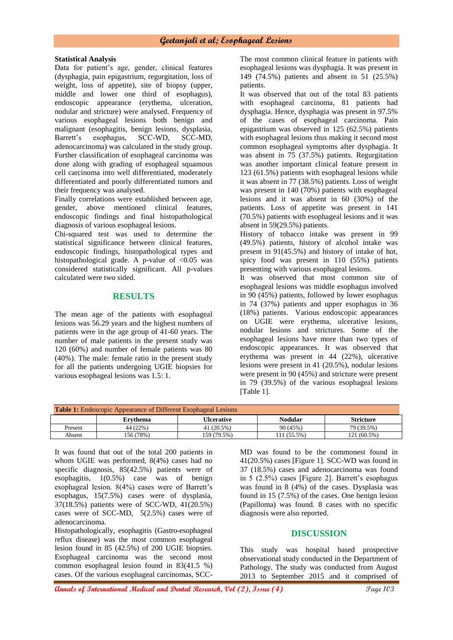#### **Statistical Analysis**

Data for patient's age, gender, clinical features (dysphagia, pain epigastrium, regurgitation, loss of weight, loss of appetite), site of biopsy (upper, middle and lower one third of esophagus), endoscopic appearance (erythema, ulceration, nodular and stricture) were analysed. Frequency of various esophageal lesions both benign and malignant (esophagitis, benign lesions, dysplasia, Barrett's esophagus, SCC-WD, SCC-MD, adenocarcinoma) was calculated in the study group. Further classification of esophageal carcinoma was done along with grading of esophageal squamous cell carcinoma into well differentiated, moderately differentiated and poorly differentiated tumors and their frequency was analysed.

Finally correlations were established between age, gender, above mentioned clinical features, endoscopic findings and final histopathological diagnosis of various esophageal lesions.

Chi-squared test was used to determine the statistical significance between clinical features, endoscopic findings, histopathological types and histopathological grade. A p-value of  $\langle 0.05 \rangle$  was considered statistically significant. All p-values calculated were two sided.

#### **RESULTS**

The mean age of the patients with esophageal lesions was 56.29 years and the highest numbers of patients were in the age group of 41-60 years. The number of male patients in the present study was 120 (60%) and number of female patients was 80 (40%). The male: female ratio in the present study for all the patients undergoing UGIE biopsies for various esophageal lesions was 1.5: 1.

The most common clinical feature in patients with esophageal lesions was dysphagia. It was present in 149 (74.5%) patients and absent in 51 (25.5%) patients.

It was observed that out of the total 83 patients with esophageal carcinoma, 81 patients had dysphagia. Hence, dysphagia was present in 97.5% of the cases of esophageal carcinoma. Pain epigastrium was observed in 125 (62.5%) patients with esophageal lesions thus making it second most common esophageal symptoms after dysphagia. It was absent in 75 (37.5%) patients. Regurgitation was another important clinical feature present in 123 (61.5%) patients with esophageal lesions while it was absent in 77 (38.5%) patients. Loss of weight was present in 140 (70%) patients with esophageal lesions and it was absent in 60 (30%) of the patients. Loss of appetite was present in 141 (70.5%) patients with esophageal lesions and it was absent in 59(29.5%) patients.

History of tobacco intake was present in 99 (49.5%) patients, history of alcohol intake was present in 91(45.5%) and history of intake of hot, spicy food was present in 110 (55%) patients presenting with various esophageal lesions.

It was observed that most common site of esophageal lesions was middle esophagus involved in 90 (45%) patients, followed by lower esophagus in 74 (37%) patients and upper esophagus in 36 (18%) patients. Various endoscopic appearances on UGIE were erythema, ulcerative lesions, nodular lesions and strictures. Some of the esophageal lesions have more than two types of endoscopic appearances. It was observed that erythema was present in 44 (22%), ulcerative lesions were present in 41 (20.5%), nodular lesions were present in 90 (45%) and stricture were present in 79 (39.5%) of the various esophageal lesions [Table 1].

| <b>Table 1:</b> Endoscopic Appearance of Different Esophageal Lesions |           |             |                |                  |
|-----------------------------------------------------------------------|-----------|-------------|----------------|------------------|
|                                                                       | Ervthema  | Ulcerative  | <b>Nodular</b> | <b>Stricture</b> |
| Present                                                               | 44 (22%)  | 41 (20.5%)  | 90 (45%)       | 79 (39.5%)       |
| Absent                                                                | 156 (78%) | 159 (79.5%) | 111 (55.5%)    | 121 (60.5%)      |

It was found that out of the total 200 patients in whom UGIE was performed, 8(4%) cases had no specific diagnosis, 85(42.5%) patients were of esophagitis, 1(0.5%) case was of benign esophageal lesion. 8(4%) cases were of Barrett's esophagus, 15(7.5%) cases were of dysplasia, 37(18.5%) patients were of SCC-WD, 41(20.5%) cases were of SCC-MD, 5(2.5%) cases were of adenocarcinoma.

Histopathologically, esophagitis (Gastro-esophageal reflux disease) was the most common esophageal lesion found in 85 (42.5%) of 200 UGIE biopsies. Esophageal carcinoma was the second most common esophageal lesion found in 83(41.5 %) cases. Of the various esophageal carcinomas, SCC-

MD was found to be the commonest found in 41(20.5%) cases [Figure 1]. SCC-WD was found in 37 (18.5%) cases and adenocarcinoma was found in 5 (2.5%) cases [Figure 2]. Barrett's esophagus was found in 8 (4%) of the cases. Dysplasia was found in 15 (7.5%) of the cases. One benign lesion (Papilloma) was found. 8 cases with no specific diagnosis were also reported.

## **DISCUSSION**

This study was hospital based prospective observational study conducted in the Department of Pathology. The study was conducted from August 2013 to September 2015 and it comprised of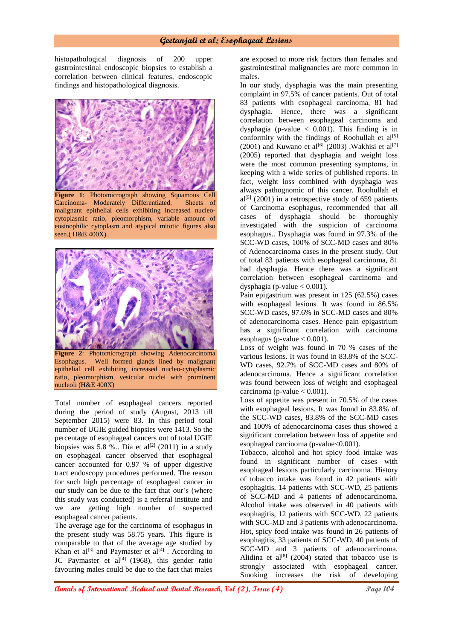## **Geetanjali et al; Esophageal Lesions**

histopathological diagnosis of 200 upper gastrointestinal endoscopic biopsies to establish a correlation between clinical features, endoscopic findings and histopathological diagnosis.



malignant epithelial cells exhibiting increased nucleocytoplasmic ratio, pleomorphism, variable amount of eosinophilic cytoplasm and atypical mitotic figures also seen.( H&E 400X).



**Figure 2**: Photomicrograph showing Adenocarcinoma Esophagus. Well formed glands lined by malignant epithelial cell exhibiting increased nucleo-cytoplasmic ratio, pleomorphism, vesicular nuclei with prominent nucleoli (H&E 400X)

Total number of esophageal cancers reported during the period of study (August, 2013 till September 2015) were 83. In this period total number of UGIE guided biopsies were 1413. So the percentage of esophageal cancers out of total UGIE biopsies was  $5.8$  %.. Dia et al<sup>[2]</sup> (2011) in a study on esophageal cancer observed that esophageal cancer accounted for 0.97 % of upper digestive tract endoscopy procedures performed. The reason for such high percentage of esophageal cancer in our study can be due to the fact that our's (where this study was conducted) is a referral institute and we are getting high number of suspected esophageal cancer patients.

The average age for the carcinoma of esophagus in the present study was 58.75 years. This figure is comparable to that of the average age studied by Khan et al<sup>[3]</sup> and Paymaster et al<sup>[4]</sup>. According to JC Paymaster et al $[4]$  (1968), this gender ratio favouring males could be due to the fact that males

are exposed to more risk factors than females and gastrointestinal malignancies are more common in males.

In our study, dysphagia was the main presenting complaint in 97.5% of cancer patients. Out of total 83 patients with esophageal carcinoma, 81 had dysphagia. Hence, there was a significant correlation between esophageal carcinoma and dysphagia (p-value  $\langle 0.001 \rangle$ ). This finding is in conformity with the findings of Roohullah et  $al^{[5]}$ (2001) and Kuwano et al<sup>[6]</sup> (2003) .Wakhisi et al<sup>[7]</sup> (2005) reported that dysphagia and weight loss were the most common presenting symptoms, in keeping with a wide series of published reports. In fact, weight loss combined with dysphagia was always pathognomic of this cancer. Roohullah et  $al^{[5]}$  (2001) in a retrospective study of 659 patients of Carcinoma esophagus, recommended that all cases of dysphagia should be thoroughly investigated with the suspicion of carcinoma esophagus.. Dysphagia was found in 97.3% of the SCC-WD cases, 100% of SCC-MD cases and 80% of Adenocarcinoma cases in the present study. Out of total 83 patients with esophageal carcinoma, 81 had dysphagia. Hence there was a significant correlation between esophageal carcinoma and dysphagia (p-value  $< 0.001$ ).

Pain epigastrium was present in 125 (62.5%) cases with esophageal lesions. It was found in 86.5% SCC-WD cases, 97.6% in SCC-MD cases and 80% of adenocarcinoma cases. Hence pain epigastrium has a significant correlation with carcinoma esophagus (p-value  $< 0.001$ ).

Loss of weight was found in 70 % cases of the various lesions. It was found in 83.8% of the SCC-WD cases, 92.7% of SCC-MD cases and 80% of adenocarcinoma. Hence a significant correlation was found between loss of weight and esophageal carcinoma (p-value  $< 0.001$ ).

Loss of appetite was present in 70.5% of the cases with esophageal lesions. It was found in 83.8% of the SCC-WD cases, 83.8% of the SCC-MD cases and 100% of adenocarcinoma cases thus showed a significant correlation between loss of appetite and esophageal carcinoma (p-value<0.001).

Tobacco, alcohol and hot spicy food intake was found in significant number of cases with esophageal lesions particularly carcinoma. History of tobacco intake was found in 42 patients with esophagitis, 14 patients with SCC-WD, 25 patients of SCC-MD and 4 patients of adenocarcinoma. Alcohol intake was observed in 40 patients with esophagitis, 12 patients with SCC-WD, 22 patients with SCC-MD and 3 patients with adenocarcinoma. Hot, spicy food intake was found in 26 patients of esophagitis, 33 patients of SCC-WD, 40 patients of SCC-MD and 3 patients of adenocarcinoma. Alidina et al<sup>[8]</sup> (2004) stated that tobacco use is strongly associated with esophageal cancer. Smoking increases the risk of developing